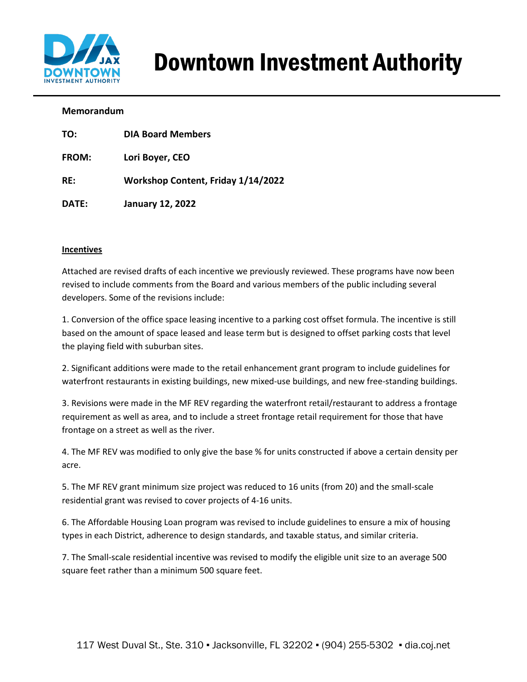

# Downtown Investment Authority

#### **Memorandum**

| TO:          | <b>DIA Board Members</b>           |
|--------------|------------------------------------|
| <b>FROM:</b> | Lori Boyer, CEO                    |
| RE:          | Workshop Content, Friday 1/14/2022 |
| DATE:        | <b>January 12, 2022</b>            |

#### **Incentives**

Attached are revised drafts of each incentive we previously reviewed. These programs have now been revised to include comments from the Board and various members of the public including several developers. Some of the revisions include:

1. Conversion of the office space leasing incentive to a parking cost offset formula. The incentive is still based on the amount of space leased and lease term but is designed to offset parking costs that level the playing field with suburban sites.

2. Significant additions were made to the retail enhancement grant program to include guidelines for waterfront restaurants in existing buildings, new mixed-use buildings, and new free-standing buildings.

3. Revisions were made in the MF REV regarding the waterfront retail/restaurant to address a frontage requirement as well as area, and to include a street frontage retail requirement for those that have frontage on a street as well as the river.

4. The MF REV was modified to only give the base % for units constructed if above a certain density per acre.

5. The MF REV grant minimum size project was reduced to 16 units (from 20) and the small-scale residential grant was revised to cover projects of 4-16 units.

6. The Affordable Housing Loan program was revised to include guidelines to ensure a mix of housing types in each District, adherence to design standards, and taxable status, and similar criteria.

7. The Small-scale residential incentive was revised to modify the eligible unit size to an average 500 square feet rather than a minimum 500 square feet.